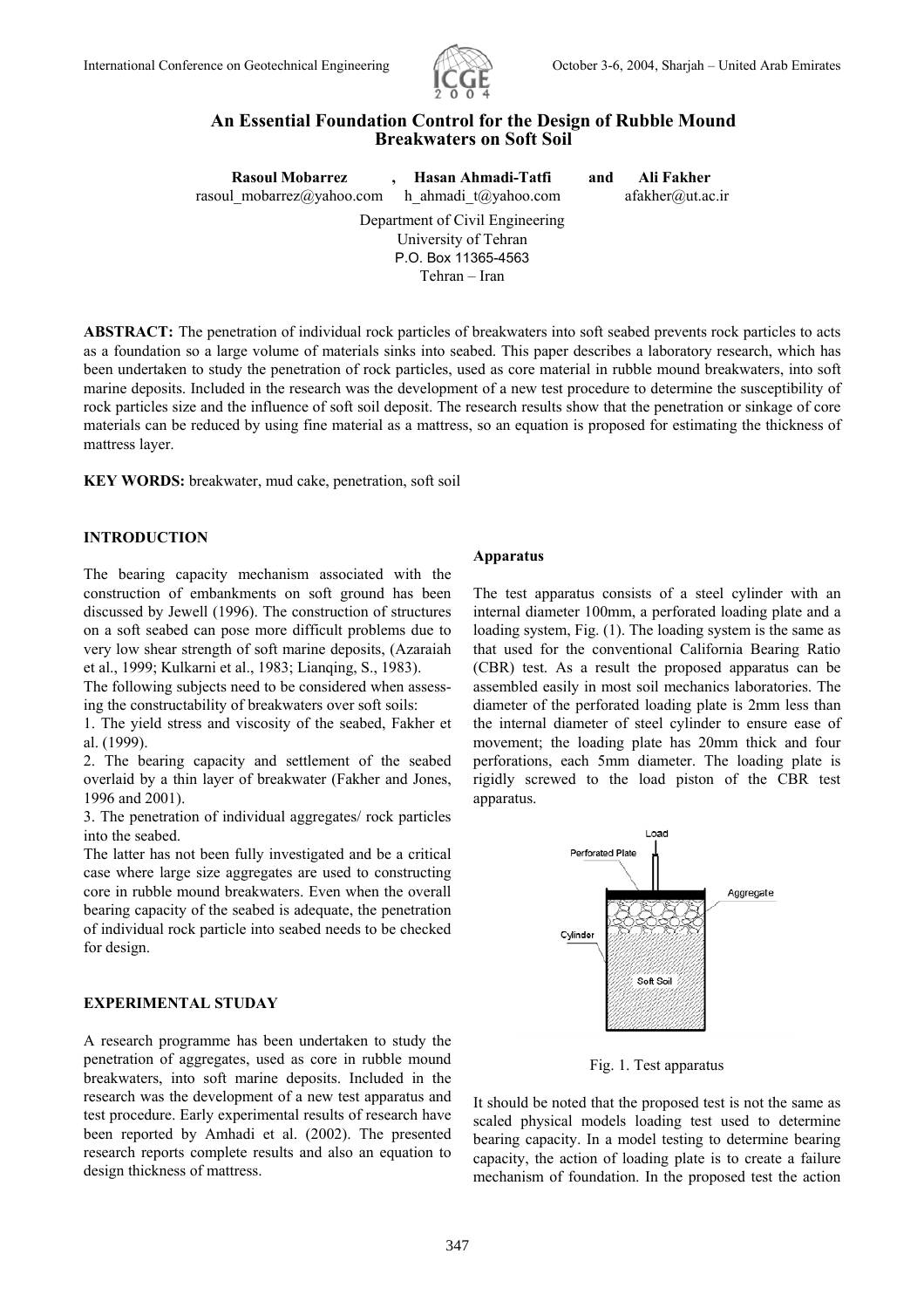

# **An Essential Foundation Control for the Design of Rubble Mound Breakwaters on Soft Soil**

| <b>Rasoul Mobarrez</b>          | Hasan Ahmadi-Tatfi      | and | Ali Fakher       |  |  |  |
|---------------------------------|-------------------------|-----|------------------|--|--|--|
| rasoul mobarrez@yahoo.com       | h ahmadi $t$ @yahoo.com |     | afakher@ut.ac.in |  |  |  |
| Department of Civil Engineering |                         |     |                  |  |  |  |
|                                 | University of Tehran    |     |                  |  |  |  |
|                                 | P.O. Box 11365-4563     |     |                  |  |  |  |
|                                 | Tehran – Iran           |     |                  |  |  |  |

**ABSTRACT:** The penetration of individual rock particles of breakwaters into soft seabed prevents rock particles to acts as a foundation so a large volume of materials sinks into seabed. This paper describes a laboratory research, which has been undertaken to study the penetration of rock particles, used as core material in rubble mound breakwaters, into soft marine deposits. Included in the research was the development of a new test procedure to determine the susceptibility of rock particles size and the influence of soft soil deposit. The research results show that the penetration or sinkage of core materials can be reduced by using fine material as a mattress, so an equation is proposed for estimating the thickness of mattress layer.

**KEY WORDS:** breakwater, mud cake, penetration, soft soil

## **INTRODUCTION**

The bearing capacity mechanism associated with the construction of embankments on soft ground has been discussed by Jewell (1996). The construction of structures on a soft seabed can pose more difficult problems due to very low shear strength of soft marine deposits, (Azaraiah et al., 1999; Kulkarni et al., 1983; Lianqing, S., 1983).

The following subjects need to be considered when assessing the constructability of breakwaters over soft soils:

1. The yield stress and viscosity of the seabed, Fakher et al. (1999).

2. The bearing capacity and settlement of the seabed overlaid by a thin layer of breakwater (Fakher and Jones, 1996 and 2001).

3. The penetration of individual aggregates/ rock particles into the seabed.

The latter has not been fully investigated and be a critical case where large size aggregates are used to constructing core in rubble mound breakwaters. Even when the overall bearing capacity of the seabed is adequate, the penetration of individual rock particle into seabed needs to be checked for design.

### **EXPERIMENTAL STUDAY**

A research programme has been undertaken to study the penetration of aggregates, used as core in rubble mound breakwaters, into soft marine deposits. Included in the research was the development of a new test apparatus and test procedure. Early experimental results of research have been reported by Amhadi et al. (2002). The presented research reports complete results and also an equation to design thickness of mattress.

#### **Apparatus**

The test apparatus consists of a steel cylinder with an internal diameter 100mm, a perforated loading plate and a loading system, Fig. (1). The loading system is the same as that used for the conventional California Bearing Ratio (CBR) test. As a result the proposed apparatus can be assembled easily in most soil mechanics laboratories. The diameter of the perforated loading plate is 2mm less than the internal diameter of steel cylinder to ensure ease of movement; the loading plate has 20mm thick and four perforations, each 5mm diameter. The loading plate is rigidly screwed to the load piston of the CBR test apparatus.



Fig. 1. Test apparatus

It should be noted that the proposed test is not the same as scaled physical models loading test used to determine bearing capacity. In a model testing to determine bearing capacity, the action of loading plate is to create a failure mechanism of foundation. In the proposed test the action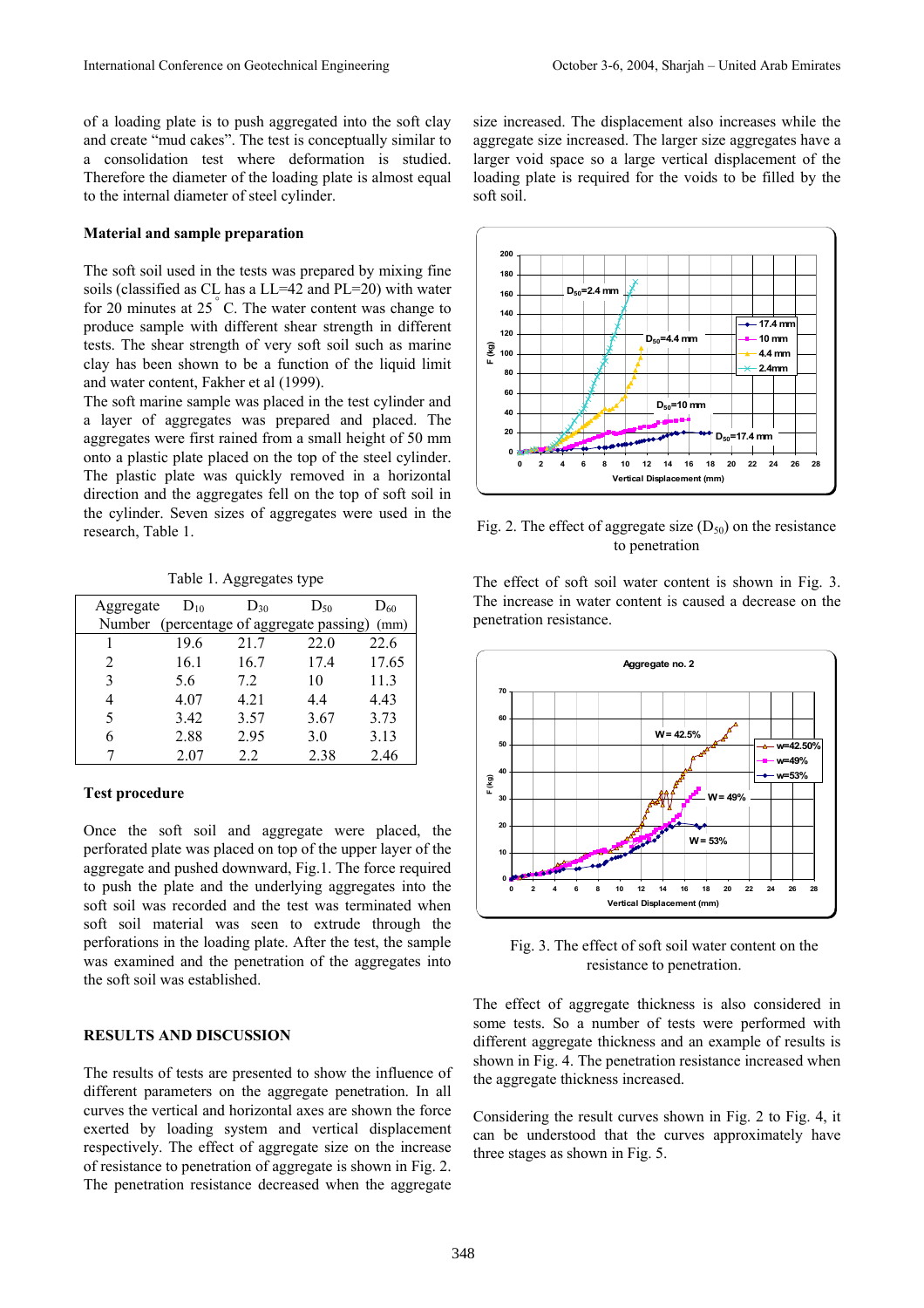of a loading plate is to push aggregated into the soft clay and create "mud cakes". The test is conceptually similar to a consolidation test where deformation is studied. Therefore the diameter of the loading plate is almost equal to the internal diameter of steel cylinder.

#### **Material and sample preparation**

The soft soil used in the tests was prepared by mixing fine soils (classified as CL has a LL=42 and PL=20) with water for 20 minutes at  $25^{\degree}$  C. The water content was change to produce sample with different shear strength in different tests. The shear strength of very soft soil such as marine clay has been shown to be a function of the liquid limit and water content, Fakher et al (1999).

The soft marine sample was placed in the test cylinder and a layer of aggregates was prepared and placed. The aggregates were first rained from a small height of 50 mm onto a plastic plate placed on the top of the steel cylinder. The plastic plate was quickly removed in a horizontal direction and the aggregates fell on the top of soft soil in the cylinder. Seven sizes of aggregates were used in the research, Table 1.

Table 1. Aggregates type

| Aggregate                   | $D_{10}$ | $D_{30}$ | $D_{50}$                          | $D_{60}$ |
|-----------------------------|----------|----------|-----------------------------------|----------|
| Number                      |          |          | (percentage of aggregate passing) | (mm)     |
|                             | 19.6     | 21.7     | 22.0                              | 22.6     |
| $\mathcal{D}_{\mathcal{L}}$ | 16.1     | 16.7     | 17.4                              | 17.65    |
| 3                           | 5.6      | 7.2      | 10                                | 11.3     |
|                             | 4.07     | 4.21     | 44                                | 4.43     |
| 5                           | 3.42     | 3.57     | 3.67                              | 3.73     |
| 6                           | 2.88     | 2.95     | 3.0                               | 3.13     |
|                             | 2.07     | 22       | 2.38                              | 2.46     |

## **Test procedure**

Once the soft soil and aggregate were placed, the perforated plate was placed on top of the upper layer of the aggregate and pushed downward, Fig.1. The force required to push the plate and the underlying aggregates into the soft soil was recorded and the test was terminated when soft soil material was seen to extrude through the perforations in the loading plate. After the test, the sample was examined and the penetration of the aggregates into the soft soil was established.

# **RESULTS AND DISCUSSION**

The results of tests are presented to show the influence of different parameters on the aggregate penetration. In all curves the vertical and horizontal axes are shown the force exerted by loading system and vertical displacement respectively. The effect of aggregate size on the increase of resistance to penetration of aggregate is shown in Fig. 2. The penetration resistance decreased when the aggregate

size increased. The displacement also increases while the aggregate size increased. The larger size aggregates have a larger void space so a large vertical displacement of the loading plate is required for the voids to be filled by the soft soil.



Fig. 2. The effect of aggregate size  $(D_{50})$  on the resistance to penetration

The effect of soft soil water content is shown in Fig. 3. The increase in water content is caused a decrease on the penetration resistance.



Fig. 3. The effect of soft soil water content on the resistance to penetration.

The effect of aggregate thickness is also considered in some tests. So a number of tests were performed with different aggregate thickness and an example of results is shown in Fig. 4. The penetration resistance increased when the aggregate thickness increased.

Considering the result curves shown in Fig. 2 to Fig. 4, it can be understood that the curves approximately have three stages as shown in Fig. 5.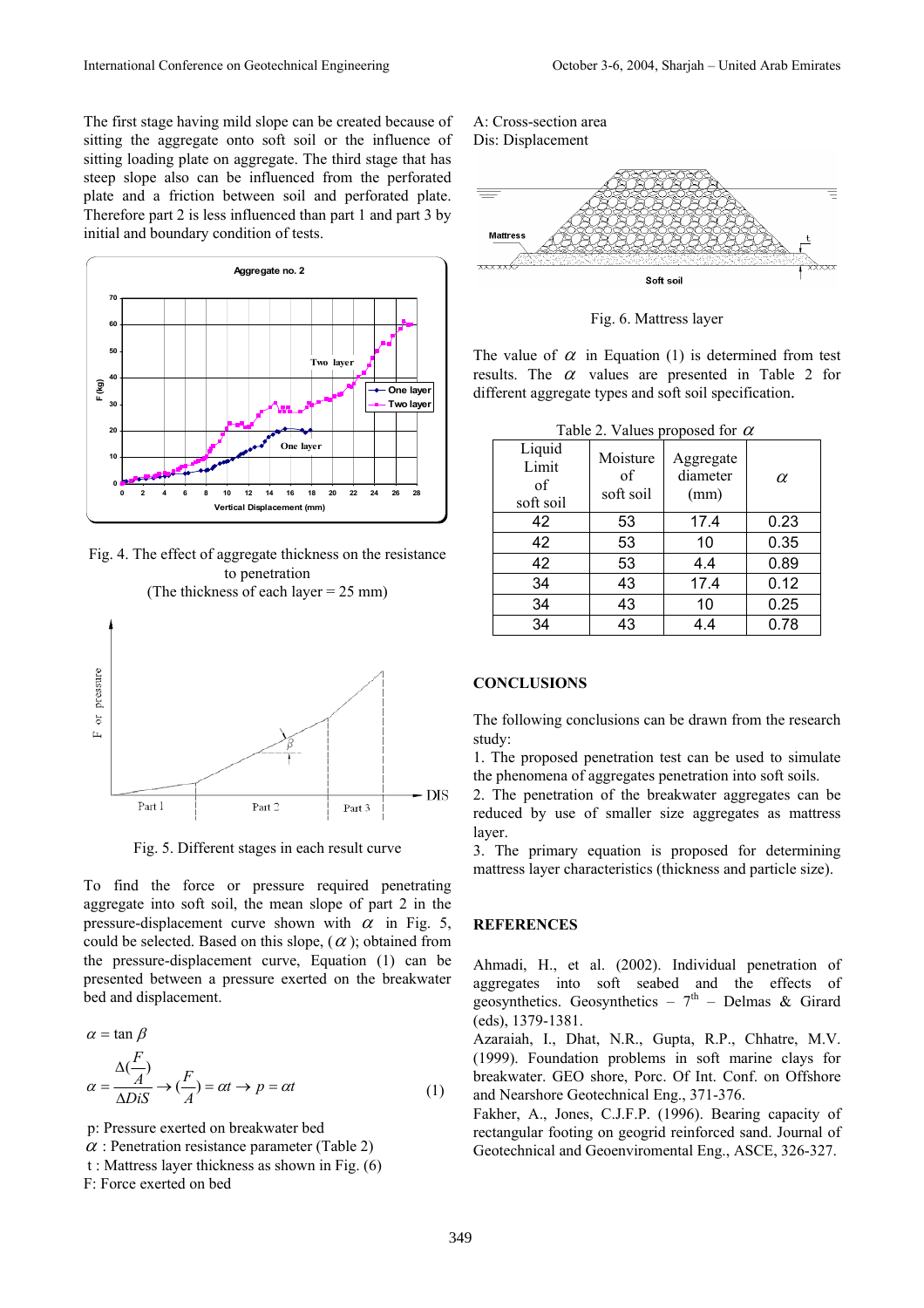The first stage having mild slope can be created because of sitting the aggregate onto soft soil or the influence of sitting loading plate on aggregate. The third stage that has steep slope also can be influenced from the perforated plate and a friction between soil and perforated plate. Therefore part 2 is less influenced than part 1 and part 3 by initial and boundary condition of tests.



Fig. 4. The effect of aggregate thickness on the resistance to penetration

(The thickness of each layer = 25 mm)



Fig. 5. Different stages in each result curve

To find the force or pressure required penetrating aggregate into soft soil, the mean slope of part 2 in the pressure-displacement curve shown with  $\alpha$  in Fig. 5, could be selected. Based on this slope,  $(\alpha)$ ; obtained from the pressure-displacement curve, Equation (1) can be presented between a pressure exerted on the breakwater bed and displacement.

$$
\alpha = \tan \beta
$$
  

$$
\alpha = \frac{\Delta(\frac{F}{A})}{\Delta Dis} \rightarrow (\frac{F}{A}) = \alpha t \rightarrow p = \alpha t
$$
 (1)

p: Pressure exerted on breakwater bed

- $\alpha$ : Penetration resistance parameter (Table 2)
- t : Mattress layer thickness as shown in Fig.  $(6)$

F: Force exerted on bed

A: Cross-section area Dis: Displacement



Fig. 6. Mattress layer

The value of  $\alpha$  in Equation (1) is determined from test results. The  $\alpha$  values are presented in Table 2 for different aggregate types and soft soil specification.

Table 2. Values proposed for  $\alpha$ 

| Liquid<br>Limit<br>of<br>soft soil | Moisture<br>of<br>soft soil | Aggregate<br>diameter<br>(mm) | $\alpha$ |
|------------------------------------|-----------------------------|-------------------------------|----------|
| 42                                 | 53                          | 17.4                          | 0.23     |
| 42                                 | 53                          | 10                            | 0.35     |
| 42                                 | 53                          | 4.4                           | 0.89     |
| 34                                 | 43                          | 17.4                          | 0.12     |
| 34                                 | 43                          | 10                            | 0.25     |
| 34                                 | 43                          | 4.4                           | 0.78     |

#### **CONCLUSIONS**

The following conclusions can be drawn from the research study:

1. The proposed penetration test can be used to simulate the phenomena of aggregates penetration into soft soils.

2. The penetration of the breakwater aggregates can be reduced by use of smaller size aggregates as mattress layer.

3. The primary equation is proposed for determining mattress layer characteristics (thickness and particle size).

### **REFERENCES**

Ahmadi, H., et al. (2002). Individual penetration of aggregates into soft seabed and the effects of geosynthetics. Geosynthetics –  $7<sup>th</sup>$  – Delmas & Girard (eds), 1379-1381.

Azaraiah, I., Dhat, N.R., Gupta, R.P., Chhatre, M.V. (1999). Foundation problems in soft marine clays for breakwater. GEO shore, Porc. Of Int. Conf. on Offshore and Nearshore Geotechnical Eng., 371-376.

Fakher, A., Jones, C.J.F.P. (1996). Bearing capacity of rectangular footing on geogrid reinforced sand. Journal of Geotechnical and Geoenviromental Eng., ASCE, 326-327.